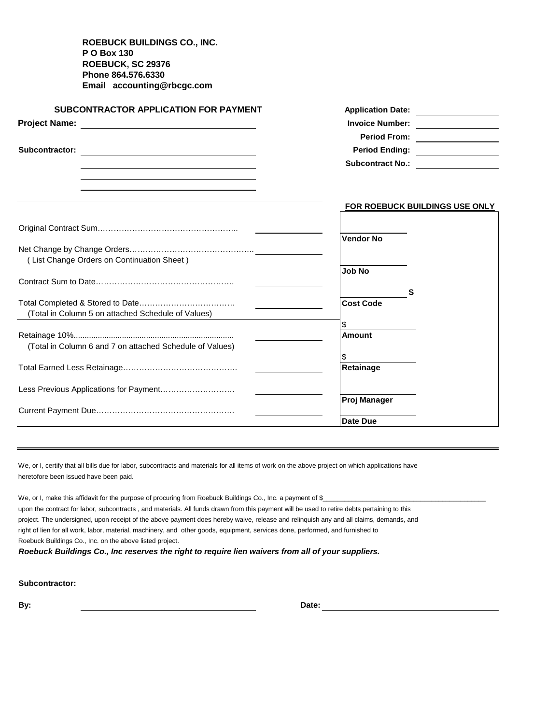**ROEBUCK BUILDINGS CO., INC. P O Box 130 ROEBUCK, SC 29376 Phone 864.576.6330 Email accounting@rbcgc.com**

| <b>SUBCONTRACTOR APPLICATION FOR PAYMENT</b>                                                                                                                                                                                  | Application Date: __________________  |  |  |  |  |
|-------------------------------------------------------------------------------------------------------------------------------------------------------------------------------------------------------------------------------|---------------------------------------|--|--|--|--|
|                                                                                                                                                                                                                               | Invoice Number: ________________      |  |  |  |  |
|                                                                                                                                                                                                                               | Period From: __________________       |  |  |  |  |
| Subcontractor:                                                                                                                                                                                                                | Period Ending: _________________      |  |  |  |  |
| the control of the control of the control of the control of the control of the control of the control of the control of the control of the control of the control of the control of the control of the control of the control | Subcontract No.:                      |  |  |  |  |
|                                                                                                                                                                                                                               |                                       |  |  |  |  |
|                                                                                                                                                                                                                               |                                       |  |  |  |  |
|                                                                                                                                                                                                                               | <b>FOR ROEBUCK BUILDINGS USE ONLY</b> |  |  |  |  |
|                                                                                                                                                                                                                               |                                       |  |  |  |  |
|                                                                                                                                                                                                                               |                                       |  |  |  |  |
|                                                                                                                                                                                                                               | <b>Vendor No</b>                      |  |  |  |  |
|                                                                                                                                                                                                                               |                                       |  |  |  |  |
| (List Change Orders on Continuation Sheet)                                                                                                                                                                                    | <b>Job No</b>                         |  |  |  |  |
|                                                                                                                                                                                                                               |                                       |  |  |  |  |
|                                                                                                                                                                                                                               | S                                     |  |  |  |  |
|                                                                                                                                                                                                                               | <b>Cost Code</b>                      |  |  |  |  |
| (Total in Column 5 on attached Schedule of Values)                                                                                                                                                                            |                                       |  |  |  |  |
|                                                                                                                                                                                                                               | \$                                    |  |  |  |  |
|                                                                                                                                                                                                                               | Amount                                |  |  |  |  |
| (Total in Column 6 and 7 on attached Schedule of Values)                                                                                                                                                                      |                                       |  |  |  |  |
|                                                                                                                                                                                                                               | S<br>Retainage                        |  |  |  |  |
|                                                                                                                                                                                                                               |                                       |  |  |  |  |
|                                                                                                                                                                                                                               |                                       |  |  |  |  |
|                                                                                                                                                                                                                               | Proj Manager                          |  |  |  |  |
|                                                                                                                                                                                                                               |                                       |  |  |  |  |
|                                                                                                                                                                                                                               | Date Due                              |  |  |  |  |

We, or I, certify that all bills due for labor, subcontracts and materials for all items of work on the above project on which applications have heretofore been issued have been paid.

We, or I, make this affidavit for the purpose of procuring from Roebuck Buildings Co., Inc. a payment of \$\_ upon the contract for labor, subcontracts , and materials. All funds drawn from this payment will be used to retire debts pertaining to this project. The undersigned, upon receipt of the above payment does hereby waive, release and relinquish any and all claims, demands, and right of lien for all work, labor, material, machinery, and other goods, equipment, services done, performed, and furnished to Roebuck Buildings Co., Inc. on the above listed project. *Roebuck Buildings Co., Inc reserves the right to require lien waivers from all of your suppliers.*

**Subcontractor:** 

**By: Date:**